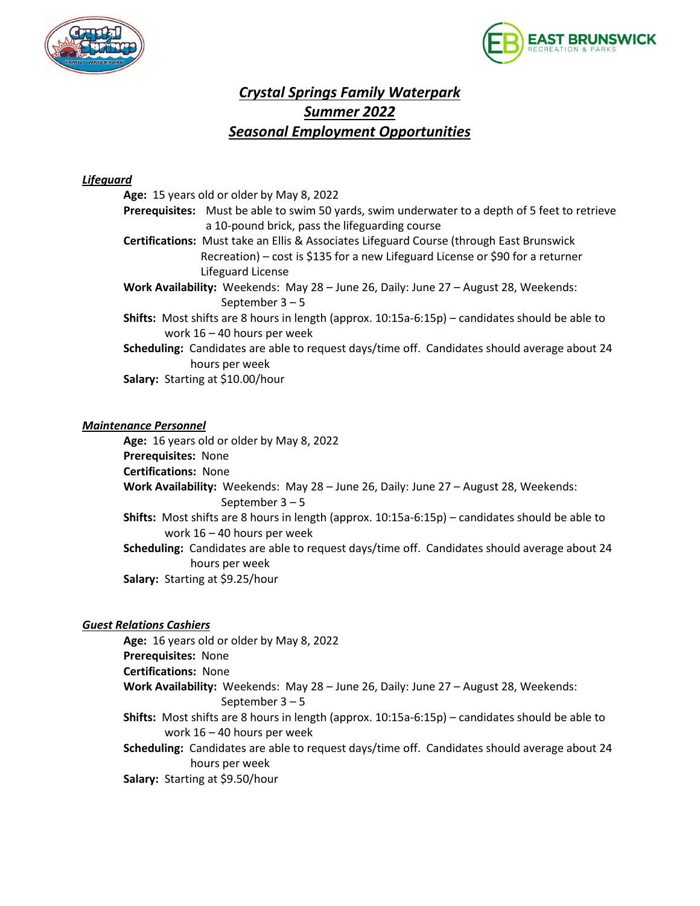



# *Crystal Springs Family Waterpark Summer 2022 Seasonal Employment Opportunities*

### *Lifeguard*

|                                                                                      | Age: 15 years old or older by May 8, 2022                                                                 |
|--------------------------------------------------------------------------------------|-----------------------------------------------------------------------------------------------------------|
|                                                                                      | <b>Prerequisites:</b> Must be able to swim 50 yards, swim underwater to a depth of 5 feet to retrieve     |
|                                                                                      | a 10-pound brick, pass the lifeguarding course                                                            |
|                                                                                      | <b>Certifications:</b> Must take an Ellis & Associates Lifeguard Course (through East Brunswick           |
|                                                                                      | Recreation) – cost is \$135 for a new Lifeguard License or \$90 for a returner                            |
|                                                                                      | Lifeguard License                                                                                         |
| Work Availability: Weekends: May 28 - June 26, Daily: June 27 - August 28, Weekends: |                                                                                                           |
|                                                                                      | September $3-5$                                                                                           |
|                                                                                      | <b>Shifts:</b> Most shifts are 8 hours in length (approx. $10:15a-6:15p$ ) – candidates should be able to |
|                                                                                      | work $16 - 40$ hours per week                                                                             |
|                                                                                      | Scheduling: Candidates are able to request days/time off. Candidates should average about 24              |
|                                                                                      | hours per week                                                                                            |
| Salary: Starting at \$10.00/hour                                                     |                                                                                                           |

#### *Maintenance Personnel*

**Age:** 16 years old or older by May 8, 2022 **Prerequisites:** None **Certifications:** None **Work Availability:** Weekends: May 28 – June 26, Daily: June 27 – August 28, Weekends: September 3 – 5 **Shifts:** Most shifts are 8 hours in length (approx. 10:15a-6:15p) – candidates should be able to work 16 – 40 hours per week **Scheduling:** Candidates are able to request days/time off. Candidates should average about 24 hours per week **Salary:** Starting at \$9.25/hour

#### *Guest Relations Cashiers*

**Age:** 16 years old or older by May 8, 2022

**Prerequisites:** None

**Certifications:** None

- **Work Availability:** Weekends: May 28 June 26, Daily: June 27 August 28, Weekends: September 3 – 5
- **Shifts:** Most shifts are 8 hours in length (approx. 10:15a-6:15p) candidates should be able to work 16 – 40 hours per week

**Scheduling:** Candidates are able to request days/time off. Candidates should average about 24 hours per week

**Salary:** Starting at \$9.50/hour